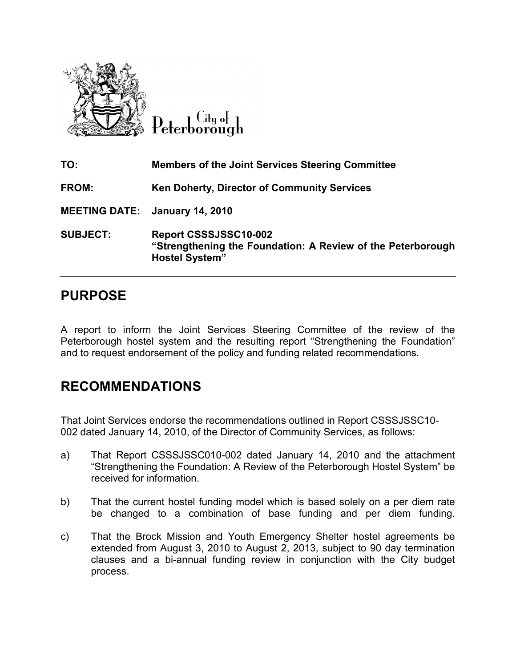

City of Peterborough

| TO:                                   | <b>Members of the Joint Services Steering Committee</b>                                                       |
|---------------------------------------|---------------------------------------------------------------------------------------------------------------|
| <b>FROM:</b>                          | <b>Ken Doherty, Director of Community Services</b>                                                            |
| <b>MEETING DATE: January 14, 2010</b> |                                                                                                               |
| <b>SUBJECT:</b>                       | Report CSSSJSSC10-002<br>"Strengthening the Foundation: A Review of the Peterborough<br><b>Hostel System"</b> |

## PURPOSE

A report to inform the Joint Services Steering Committee of the review of the Peterborough hostel system and the resulting report "Strengthening the Foundation" and to request endorsement of the policy and funding related recommendations.

# RECOMMENDATIONS

That Joint Services endorse the recommendations outlined in Report CSSSJSSC10- 002 dated January 14, 2010, of the Director of Community Services, as follows:

- a) That Report CSSSJSSC010-002 dated January 14, 2010 and the attachment "Strengthening the Foundation: A Review of the Peterborough Hostel System" be received for information.
- b) That the current hostel funding model which is based solely on a per diem rate be changed to a combination of base funding and per diem funding.
- c) That the Brock Mission and Youth Emergency Shelter hostel agreements be extended from August 3, 2010 to August 2, 2013, subject to 90 day termination clauses and a bi-annual funding review in conjunction with the City budget process.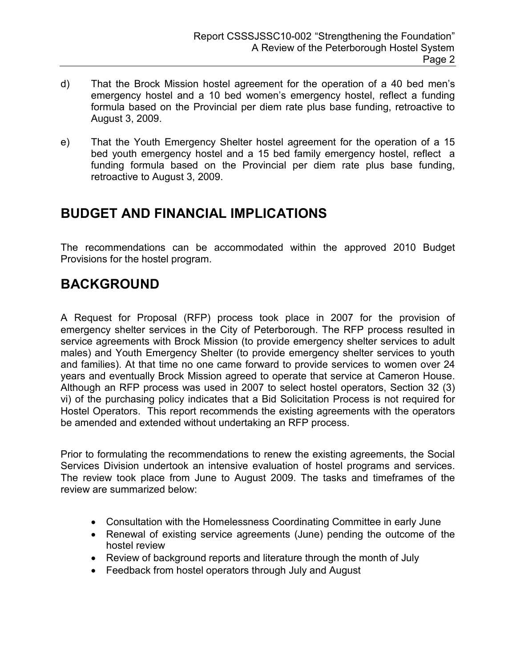- d) That the Brock Mission hostel agreement for the operation of a 40 bed men's emergency hostel and a 10 bed women's emergency hostel, reflect a funding formula based on the Provincial per diem rate plus base funding, retroactive to August 3, 2009.
- e) That the Youth Emergency Shelter hostel agreement for the operation of a 15 bed youth emergency hostel and a 15 bed family emergency hostel, reflect a funding formula based on the Provincial per diem rate plus base funding, retroactive to August 3, 2009.

## BUDGET AND FINANCIAL IMPLICATIONS

The recommendations can be accommodated within the approved 2010 Budget Provisions for the hostel program.

# BACKGROUND

A Request for Proposal (RFP) process took place in 2007 for the provision of emergency shelter services in the City of Peterborough. The RFP process resulted in service agreements with Brock Mission (to provide emergency shelter services to adult males) and Youth Emergency Shelter (to provide emergency shelter services to youth and families). At that time no one came forward to provide services to women over 24 years and eventually Brock Mission agreed to operate that service at Cameron House. Although an RFP process was used in 2007 to select hostel operators, Section 32 (3) vi) of the purchasing policy indicates that a Bid Solicitation Process is not required for Hostel Operators. This report recommends the existing agreements with the operators be amended and extended without undertaking an RFP process.

Prior to formulating the recommendations to renew the existing agreements, the Social Services Division undertook an intensive evaluation of hostel programs and services. The review took place from June to August 2009. The tasks and timeframes of the review are summarized below:

- Consultation with the Homelessness Coordinating Committee in early June
- Renewal of existing service agreements (June) pending the outcome of the hostel review
- Review of background reports and literature through the month of July
- Feedback from hostel operators through July and August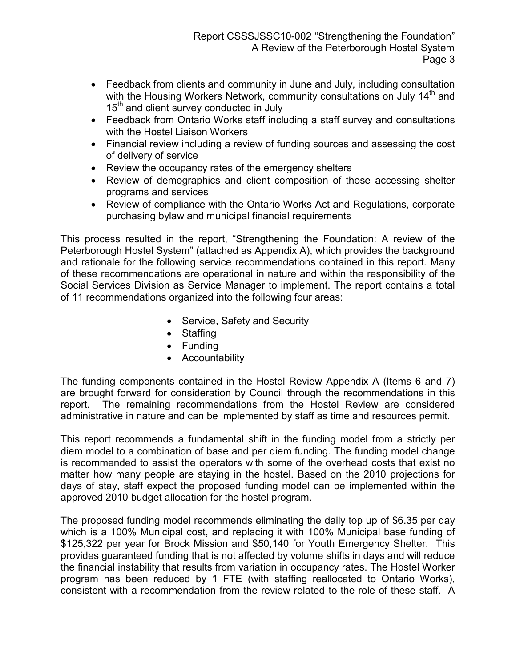- Feedback from clients and community in June and July, including consultation with the Housing Workers Network, community consultations on July 14<sup>th</sup> and 15<sup>th</sup> and client survey conducted in July
- Feedback from Ontario Works staff including a staff survey and consultations with the Hostel Liaison Workers
- Financial review including a review of funding sources and assessing the cost of delivery of service
- Review the occupancy rates of the emergency shelters
- Review of demographics and client composition of those accessing shelter programs and services
- Review of compliance with the Ontario Works Act and Regulations, corporate purchasing bylaw and municipal financial requirements

This process resulted in the report, "Strengthening the Foundation: A review of the Peterborough Hostel System" (attached as Appendix A), which provides the background and rationale for the following service recommendations contained in this report. Many of these recommendations are operational in nature and within the responsibility of the Social Services Division as Service Manager to implement. The report contains a total of 11 recommendations organized into the following four areas:

- Service, Safety and Security
- Staffing
- Funding
- Accountability

The funding components contained in the Hostel Review Appendix A (Items 6 and 7) are brought forward for consideration by Council through the recommendations in this report. The remaining recommendations from the Hostel Review are considered administrative in nature and can be implemented by staff as time and resources permit.

This report recommends a fundamental shift in the funding model from a strictly per diem model to a combination of base and per diem funding. The funding model change is recommended to assist the operators with some of the overhead costs that exist no matter how many people are staying in the hostel. Based on the 2010 projections for days of stay, staff expect the proposed funding model can be implemented within the approved 2010 budget allocation for the hostel program.

The proposed funding model recommends eliminating the daily top up of \$6.35 per day which is a 100% Municipal cost, and replacing it with 100% Municipal base funding of \$125,322 per year for Brock Mission and \$50,140 for Youth Emergency Shelter. This provides guaranteed funding that is not affected by volume shifts in days and will reduce the financial instability that results from variation in occupancy rates. The Hostel Worker program has been reduced by 1 FTE (with staffing reallocated to Ontario Works), consistent with a recommendation from the review related to the role of these staff. A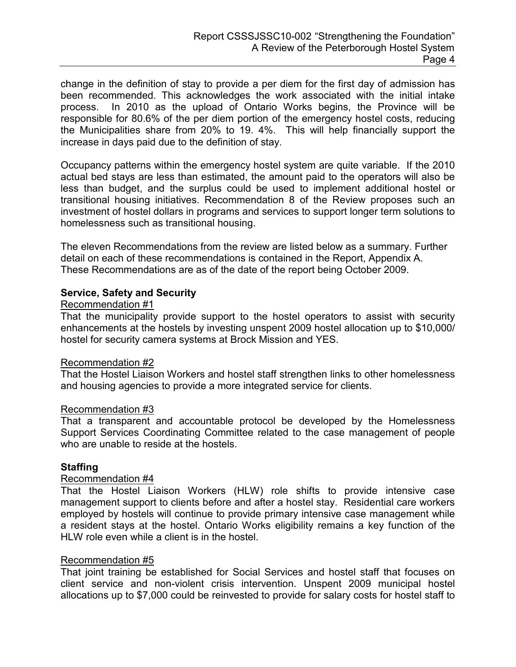change in the definition of stay to provide a per diem for the first day of admission has been recommended. This acknowledges the work associated with the initial intake process. In 2010 as the upload of Ontario Works begins, the Province will be responsible for 80.6% of the per diem portion of the emergency hostel costs, reducing the Municipalities share from 20% to 19. 4%. This will help financially support the increase in days paid due to the definition of stay.

Occupancy patterns within the emergency hostel system are quite variable. If the 2010 actual bed stays are less than estimated, the amount paid to the operators will also be less than budget, and the surplus could be used to implement additional hostel or transitional housing initiatives. Recommendation 8 of the Review proposes such an investment of hostel dollars in programs and services to support longer term solutions to homelessness such as transitional housing.

The eleven Recommendations from the review are listed below as a summary. Further detail on each of these recommendations is contained in the Report, Appendix A. These Recommendations are as of the date of the report being October 2009.

## Service, Safety and Security

#### Recommendation #1

That the municipality provide support to the hostel operators to assist with security enhancements at the hostels by investing unspent 2009 hostel allocation up to \$10,000/ hostel for security camera systems at Brock Mission and YES.

#### Recommendation #2

That the Hostel Liaison Workers and hostel staff strengthen links to other homelessness and housing agencies to provide a more integrated service for clients.

#### Recommendation #3

That a transparent and accountable protocol be developed by the Homelessness Support Services Coordinating Committee related to the case management of people who are unable to reside at the hostels.

## Staffing

## Recommendation #4

That the Hostel Liaison Workers (HLW) role shifts to provide intensive case management support to clients before and after a hostel stay. Residential care workers employed by hostels will continue to provide primary intensive case management while a resident stays at the hostel. Ontario Works eligibility remains a key function of the HLW role even while a client is in the hostel.

#### Recommendation #5

That joint training be established for Social Services and hostel staff that focuses on client service and non-violent crisis intervention. Unspent 2009 municipal hostel allocations up to \$7,000 could be reinvested to provide for salary costs for hostel staff to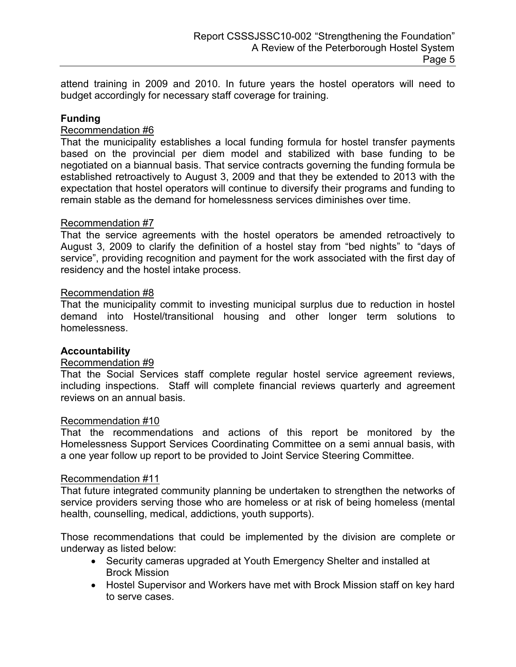attend training in 2009 and 2010. In future years the hostel operators will need to budget accordingly for necessary staff coverage for training.

## Funding

## Recommendation #6

That the municipality establishes a local funding formula for hostel transfer payments based on the provincial per diem model and stabilized with base funding to be negotiated on a biannual basis. That service contracts governing the funding formula be established retroactively to August 3, 2009 and that they be extended to 2013 with the expectation that hostel operators will continue to diversify their programs and funding to remain stable as the demand for homelessness services diminishes over time.

#### Recommendation #7

That the service agreements with the hostel operators be amended retroactively to August 3, 2009 to clarify the definition of a hostel stay from "bed nights" to "days of service", providing recognition and payment for the work associated with the first day of residency and the hostel intake process.

#### Recommendation #8

That the municipality commit to investing municipal surplus due to reduction in hostel demand into Hostel/transitional housing and other longer term solutions to homelessness.

## Accountability

## Recommendation #9

That the Social Services staff complete regular hostel service agreement reviews, including inspections. Staff will complete financial reviews quarterly and agreement reviews on an annual basis.

#### Recommendation #10

That the recommendations and actions of this report be monitored by the Homelessness Support Services Coordinating Committee on a semi annual basis, with a one year follow up report to be provided to Joint Service Steering Committee.

#### Recommendation #11

That future integrated community planning be undertaken to strengthen the networks of service providers serving those who are homeless or at risk of being homeless (mental health, counselling, medical, addictions, youth supports).

Those recommendations that could be implemented by the division are complete or underway as listed below:

- Security cameras upgraded at Youth Emergency Shelter and installed at Brock Mission
- Hostel Supervisor and Workers have met with Brock Mission staff on key hard to serve cases.